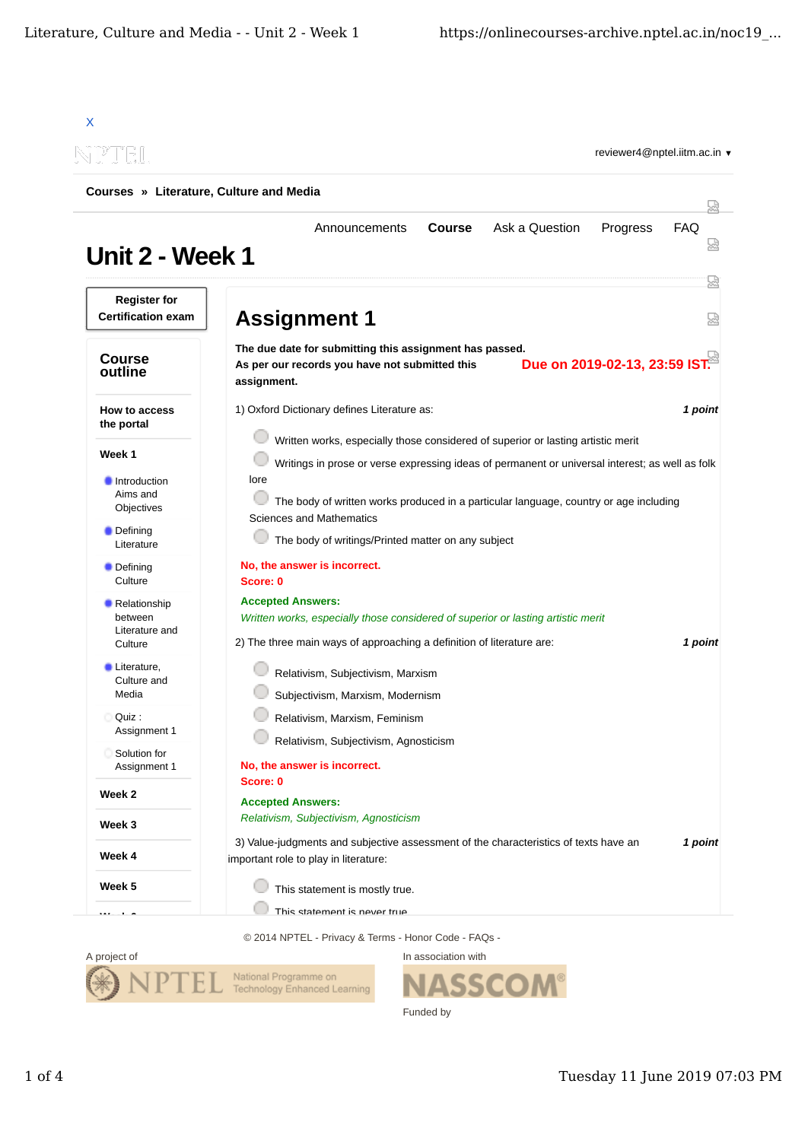| Courses » Literature, Culture and Media                |                                                                                                                                                                                       |            |  |
|--------------------------------------------------------|---------------------------------------------------------------------------------------------------------------------------------------------------------------------------------------|------------|--|
| <b>Unit 2 - Week 1</b>                                 | Ask a Question<br>Announcements<br><b>Course</b><br>Progress                                                                                                                          | <b>FAQ</b> |  |
| <b>Register for</b><br><b>Certification exam</b>       | <b>Assignment 1</b>                                                                                                                                                                   | 얺          |  |
| <b>Course</b><br>outline                               | The due date for submitting this assignment has passed.<br>Due on 2019-02-13, 23:59 IST.<br>As per our records you have not submitted this<br>assignment.                             |            |  |
| <b>How to access</b><br>the portal                     | 1) Oxford Dictionary defines Literature as:                                                                                                                                           | 1 point    |  |
| Week 1                                                 | Written works, especially those considered of superior or lasting artistic merit<br>Writings in prose or verse expressing ideas of permanent or universal interest; as well as folk   |            |  |
| Introduction<br>Aims and<br>Objectives                 | lore<br>The body of written works produced in a particular language, country or age including                                                                                         |            |  |
| <b>Defining</b><br>Literature                          | Sciences and Mathematics<br>The body of writings/Printed matter on any subject                                                                                                        |            |  |
| • Defining<br>Culture                                  | No, the answer is incorrect.<br>Score: 0                                                                                                                                              |            |  |
| • Relationship<br>between<br>Literature and<br>Culture | <b>Accepted Answers:</b><br>Written works, especially those considered of superior or lasting artistic merit<br>2) The three main ways of approaching a definition of literature are: | 1 point    |  |
| Literature,<br>Culture and<br>Media                    | Relativism, Subjectivism, Marxism<br>Subjectivism, Marxism, Modernism                                                                                                                 |            |  |
| Quiz:<br>Assignment 1                                  | Relativism, Marxism, Feminism                                                                                                                                                         |            |  |
| Solution for<br>Assignment 1                           | Relativism, Subjectivism, Agnosticism<br>No, the answer is incorrect.                                                                                                                 |            |  |
| Week 2                                                 | Score: 0<br><b>Accepted Answers:</b>                                                                                                                                                  |            |  |
| Week 3                                                 | Relativism, Subjectivism, Agnosticism                                                                                                                                                 |            |  |
| Week 4                                                 | 3) Value-judgments and subjective assessment of the characteristics of texts have an<br>important role to play in literature:                                                         | 1 point    |  |
|                                                        |                                                                                                                                                                                       |            |  |

© 2014 NPTEL - Privacy & Terms - Honor Code - FAQs -



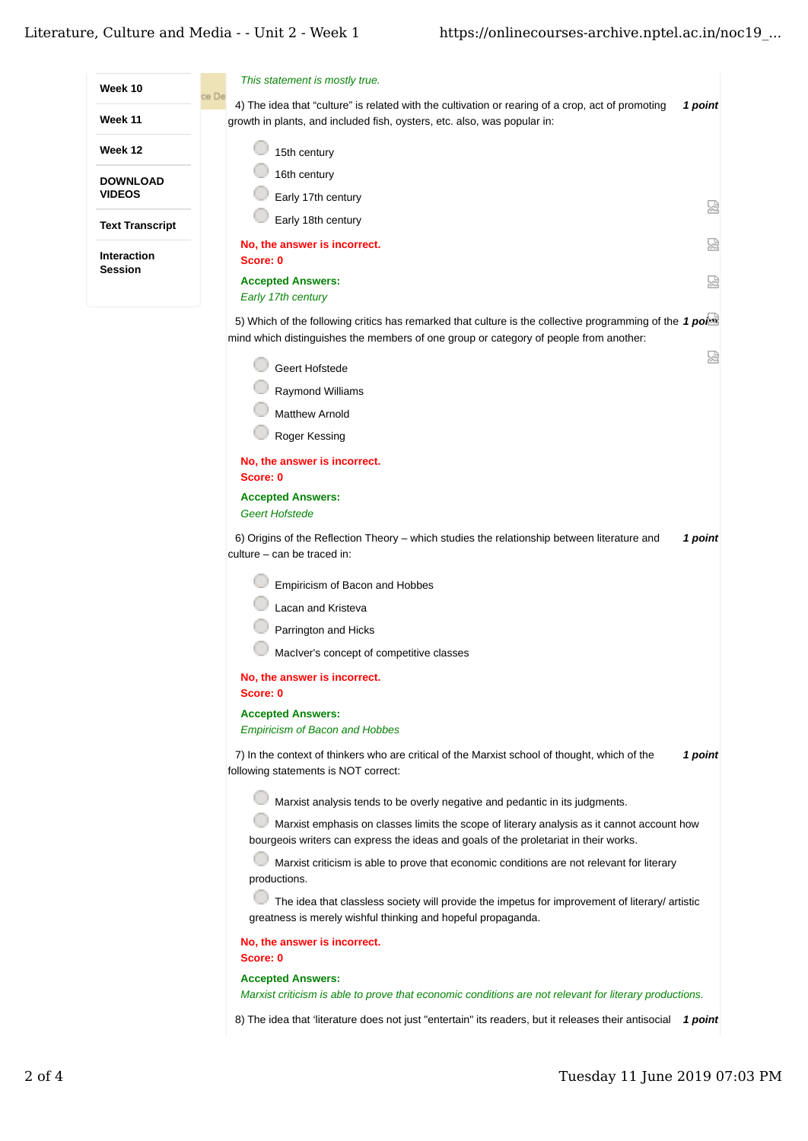

Roger Kessing

**No, the answer is incorrect. Score: 0**

## **Accepted Answers:**

*Geert Hofstede*

6) Origins of the Reflection Theory – which studies the relationship between literature and **1 point** culture – can be traced in:

Empiricism of Bacon and Hobbes

Lacan and Kristeva

Parrington and Hicks

MacIver's concept of competitive classes

**No, the answer is incorrect.**

**Score: 0**

## **Accepted Answers:**

*Empiricism of Bacon and Hobbes*

7) In the context of thinkers who are critical of the Marxist school of thought, which of the **1 point** following statements is NOT correct:

Marxist analysis tends to be overly negative and pedantic in its judgments.

**Marxist emphasis on classes limits the scope of literary analysis as it cannot account how** bourgeois writers can express the ideas and goals of the proletariat in their works.

Marxist criticism is able to prove that economic conditions are not relevant for literary productions.

 $\Box$  The idea that classless society will provide the impetus for improvement of literary/ artistic greatness is merely wishful thinking and hopeful propaganda.

**No, the answer is incorrect.**

**Score: 0**

**Accepted Answers:**

*Marxist criticism is able to prove that economic conditions are not relevant for literary productions.*

8) The idea that 'literature does not just "entertain" its readers, but it releases their antisocial  $\,$  1  $point$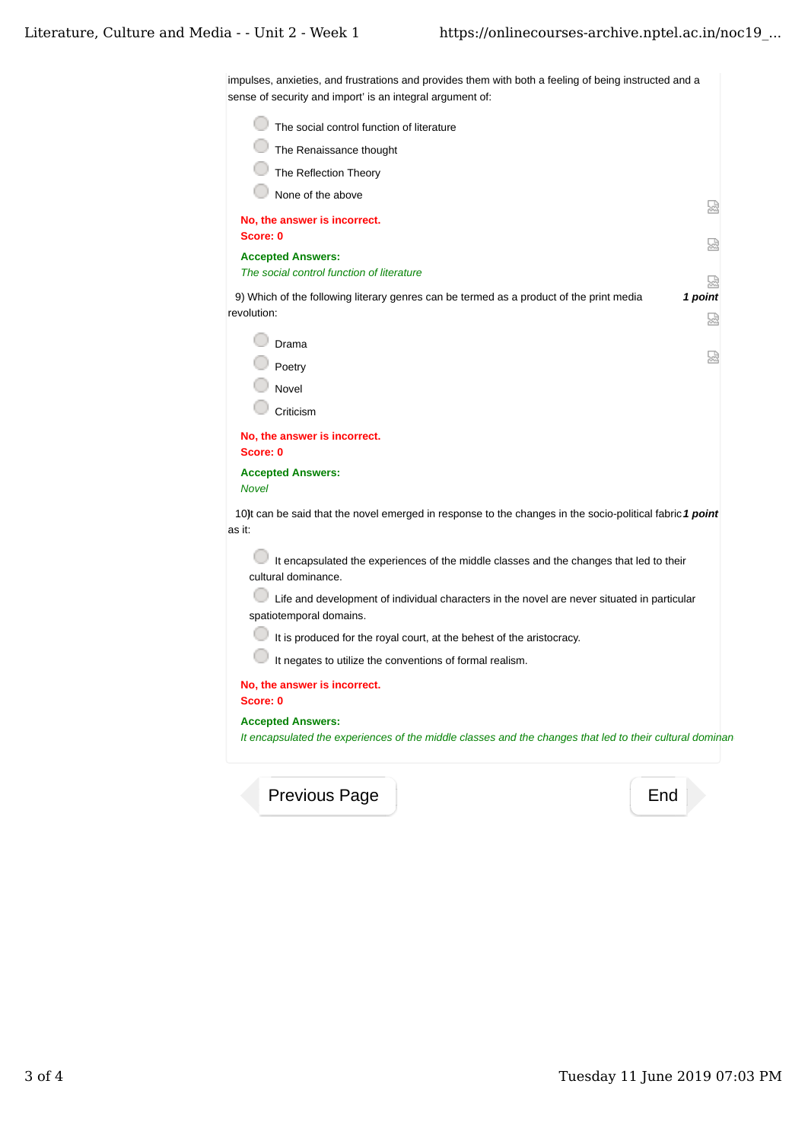impulses, anxieties, and frustrations and provides them with both a feeling of being instructed and a sense of security and import' is an integral argument of:

| The social control function of literature                                                                                            |              |
|--------------------------------------------------------------------------------------------------------------------------------------|--------------|
| The Renaissance thought                                                                                                              |              |
| The Reflection Theory                                                                                                                |              |
| None of the above                                                                                                                    |              |
| No, the answer is incorrect.                                                                                                         | 냈            |
| Score: 0                                                                                                                             |              |
| <b>Accepted Answers:</b><br>The social control function of literature                                                                |              |
| 9) Which of the following literary genres can be termed as a product of the print media<br>revolution:                               | 1 point<br>냈 |
| Drama                                                                                                                                |              |
| Poetry                                                                                                                               |              |
| Novel                                                                                                                                |              |
| Criticism                                                                                                                            |              |
| No, the answer is incorrect.<br>Score: 0                                                                                             |              |
| <b>Accepted Answers:</b><br><b>Novel</b>                                                                                             |              |
| 10)t can be said that the novel emerged in response to the changes in the socio-political fabric 1 point<br>as it:                   |              |
| It encapsulated the experiences of the middle classes and the changes that led to their<br>cultural dominance.                       |              |
| Life and development of individual characters in the novel are never situated in particular<br>spatiotemporal domains.               |              |
| It is produced for the royal court, at the behest of the aristocracy.                                                                |              |
| It negates to utilize the conventions of formal realism.                                                                             |              |
| No, the answer is incorrect.<br>Score: 0                                                                                             |              |
| <b>Accepted Answers:</b><br>It encapsulated the experiences of the middle classes and the changes that led to their cultural dominan |              |
|                                                                                                                                      |              |

Previous Page **End**